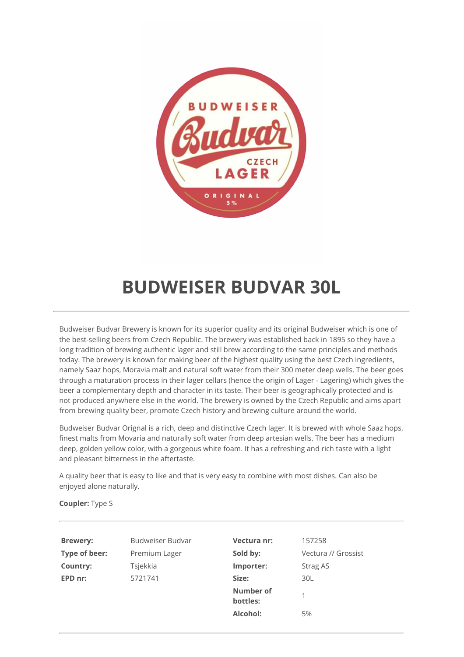

## **BUDWEISER BUDVAR 30L**

Budweiser Budvar Brewery is known for its superior quality and its original Budweiser which is one of the best-selling beers from Czech Republic. The brewery was established back in 1895 so they have a long tradition of brewing authentic lager and still brew according to the same principles and methods today. The brewery is known for making beer of the highest quality using the best Czech ingredients, namely Saaz hops, Moravia malt and natural soft water from their 300 meter deep wells. The beer goes through a maturation process in their lager cellars (hence the origin of Lager - Lagering) which gives the beer a complementary depth and character in its taste. Their beer is geographically protected and is not produced anywhere else in the world. The brewery is owned by the Czech Republic and aims apart from brewing quality beer, promote Czech history and brewing culture around the world.

Budweiser Budvar Orignal is a rich, deep and distinctive Czech lager. It is brewed with whole Saaz hops, finest malts from Movaria and naturally soft water from deep artesian wells. The beer has a medium deep, golden yellow color, with a gorgeous white foam. It has a refreshing and rich taste with a light and pleasant bitterness in the aftertaste.

A quality beer that is easy to like and that is very easy to combine with most dishes. Can also be enjoyed alone naturally.

**Coupler:** Type S

| <b>Brewery:</b> | Budweiser Budvar | Vectura nr:           | 157258              |
|-----------------|------------------|-----------------------|---------------------|
| Type of beer:   | Premium Lager    | Sold by:              | Vectura // Grossist |
| Country:        | Tsjekkia         | Importer:             | Strag AS            |
| EPD nr:         | 5721741          | Size:                 | 30L                 |
|                 |                  | Number of<br>bottles: | 1                   |
|                 |                  | Alcohol:              | 5%                  |
|                 |                  |                       |                     |